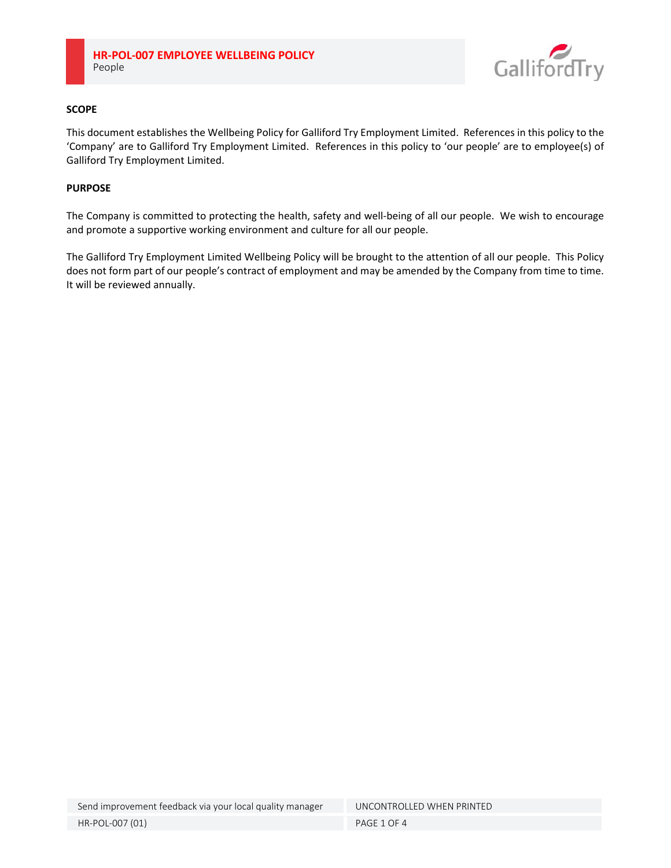

# **SCOPE**

This document establishes the Wellbeing Policy for Galliford Try Employment Limited. References in this policy to the 'Company' are to Galliford Try Employment Limited. References in this policy to 'our people' are to employee(s) of Galliford Try Employment Limited.

### **PURPOSE**

The Company is committed to protecting the health, safety and well-being of all our people. We wish to encourage and promote a supportive working environment and culture for all our people.

The Galliford Try Employment Limited Wellbeing Policy will be brought to the attention of all our people. This Policy does not form part of our people's contract of employment and may be amended by the Company from time to time. It will be reviewed annually.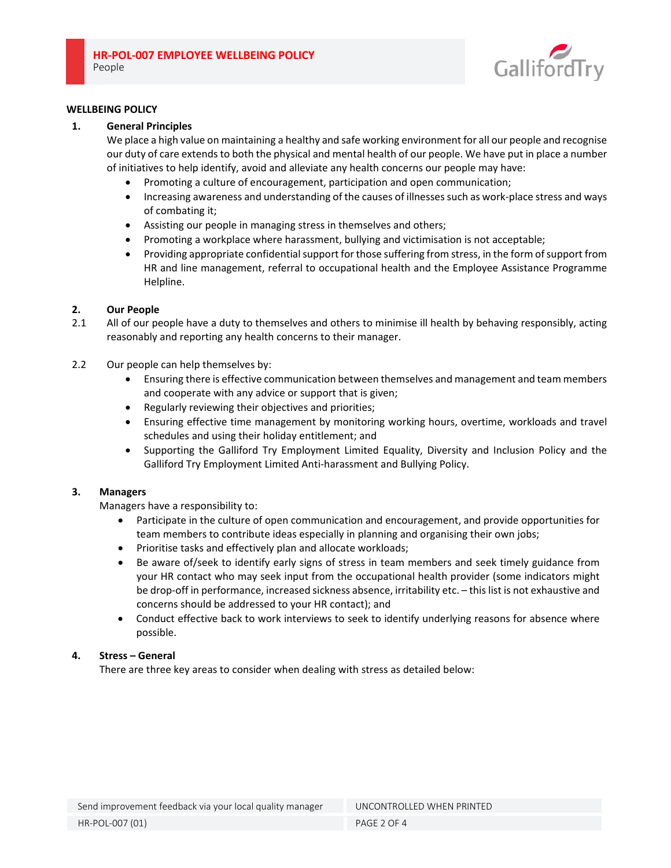

### **WELLBEING POLICY**

### **1. General Principles**

 We place a high value on maintaining a healthy and safe working environment for all our people and recognise our duty of care extends to both the physical and mental health of our people. We have put in place a number of initiatives to help identify, avoid and alleviate any health concerns our people may have:

- Promoting a culture of encouragement, participation and open communication;
- Increasing awareness and understanding of the causes of illnesses such as work-place stress and ways of combating it;
- Assisting our people in managing stress in themselves and others;
- Promoting a workplace where harassment, bullying and victimisation is not acceptable;
- Providing appropriate confidential support for those suffering from stress, in the form of support from HR and line management, referral to occupational health and the Employee Assistance Programme Helpline.

# **2. Our People**

- 2.1 All of our people have a duty to themselves and others to minimise ill health by behaving responsibly, acting reasonably and reporting any health concerns to their manager.
- 2.2 Our people can help themselves by:
	- Ensuring there is effective communication between themselves and management and team members and cooperate with any advice or support that is given;
	- Regularly reviewing their objectives and priorities;
	- Ensuring effective time management by monitoring working hours, overtime, workloads and travel schedules and using their holiday entitlement; and
	- Supporting the Galliford Try Employment Limited Equality, Diversity and Inclusion Policy and the Galliford Try Employment Limited Anti‐harassment and Bullying Policy.

# **3. Managers**

 Managers have a responsibility to:

- Participate in the culture of open communication and encouragement, and provide opportunities for team members to contribute ideas especially in planning and organising their own jobs;
- Prioritise tasks and effectively plan and allocate workloads;
- Be aware of/seek to identify early signs of stress in team members and seek timely guidance from your HR contact who may seek input from the occupational health provider (some indicators might be drop-off in performance, increased sickness absence, irritability etc. - this list is not exhaustive and concerns should be addressed to your HR contact); and
- Conduct effective back to work interviews to seek to identify underlying reasons for absence where possible.

# **4. Stress – General**

There are three key areas to consider when dealing with stress as detailed below: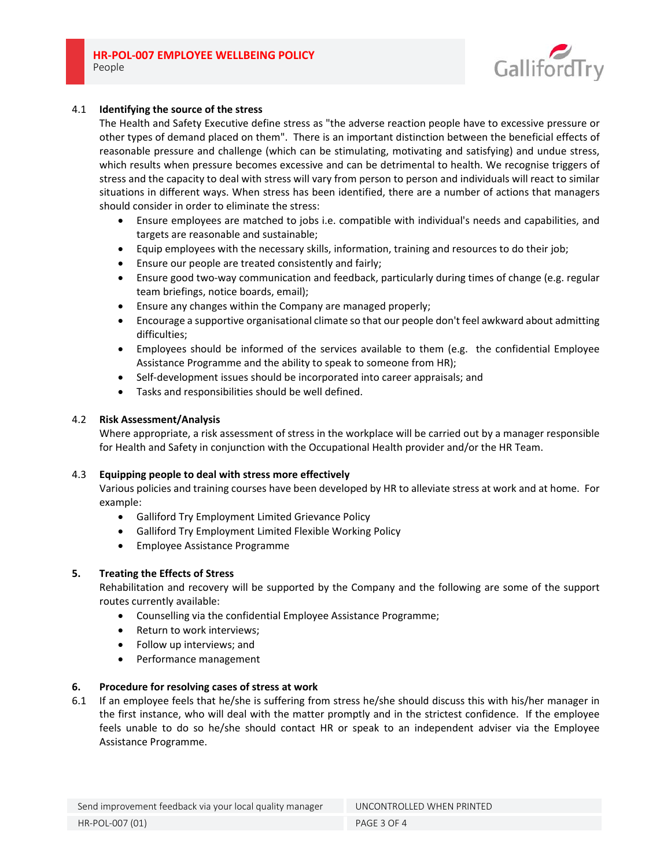

# 4.1 **Identifying the source of the stress**

 The Health and Safety Executive define stress as "the adverse reaction people have to excessive pressure or other types of demand placed on them". There is an important distinction between the beneficial effects of reasonable pressure and challenge (which can be stimulating, motivating and satisfying) and undue stress, which results when pressure becomes excessive and can be detrimental to health. We recognise triggers of stress and the capacity to deal with stress will vary from person to person and individuals will react to similar situations in different ways. When stress has been identified, there are a number of actions that managers should consider in order to eliminate the stress:

- Ensure employees are matched to jobs i.e. compatible with individual's needs and capabilities, and targets are reasonable and sustainable;
- Equip employees with the necessary skills, information, training and resources to do their job;
- Ensure our people are treated consistently and fairly;
- Ensure good two-way communication and feedback, particularly during times of change (e.g. regular team briefings, notice boards, email);
- Ensure any changes within the Company are managed properly;
- Encourage a supportive organisational climate so that our people don't feel awkward about admitting difficulties;
- Employees should be informed of the services available to them (e.g. the confidential Employee Assistance Programme and the ability to speak to someone from HR);
- Self-development issues should be incorporated into career appraisals; and
- Tasks and responsibilities should be well defined.

# 4.2 **Risk Assessment/Analysis**

Where appropriate, a risk assessment of stress in the workplace will be carried out by a manager responsible for Health and Safety in conjunction with the Occupational Health provider and/or the HR Team.

# 4.3 **Equipping people to deal with stress more effectively**

 Various policies and training courses have been developed by HR to alleviate stress at work and at home. For example:

- Galliford Try Employment Limited Grievance Policy
- Galliford Try Employment Limited Flexible Working Policy
- Employee Assistance Programme

# **5. Treating the Effects of Stress**

 Rehabilitation and recovery will be supported by the Company and the following are some of the support routes currently available:

- Counselling via the confidential Employee Assistance Programme;
- Return to work interviews;
- Follow up interviews; and
- Performance management

# **6. Procedure for resolving cases of stress at work**

6.1 If an employee feels that he/she is suffering from stress he/she should discuss this with his/her manager in the first instance, who will deal with the matter promptly and in the strictest confidence. If the employee feels unable to do so he/she should contact HR or speak to an independent adviser via the Employee Assistance Programme.